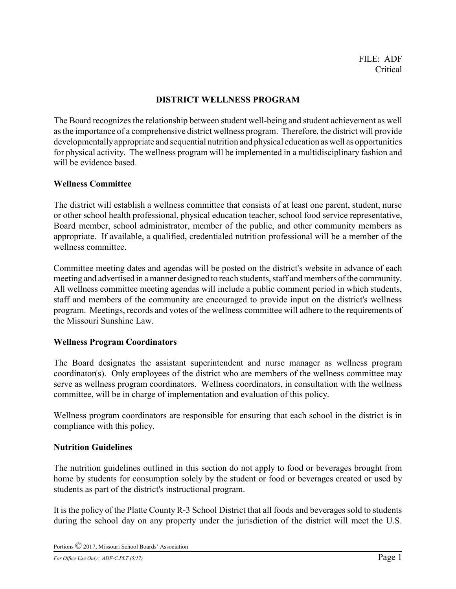## **DISTRICT WELLNESS PROGRAM**

The Board recognizes the relationship between student well-being and student achievement as well as the importance of a comprehensive district wellness program. Therefore, the district will provide developmentallyappropriate and sequential nutrition and physical education as well as opportunities for physical activity. The wellness program will be implemented in a multidisciplinary fashion and will be evidence based.

## **Wellness Committee**

The district will establish a wellness committee that consists of at least one parent, student, nurse or other school health professional, physical education teacher, school food service representative, Board member, school administrator, member of the public, and other community members as appropriate. If available, a qualified, credentialed nutrition professional will be a member of the wellness committee.

Committee meeting dates and agendas will be posted on the district's website in advance of each meeting and advertised in a manner designed to reach students, staff and members of the community. All wellness committee meeting agendas will include a public comment period in which students, staff and members of the community are encouraged to provide input on the district's wellness program. Meetings, records and votes of the wellness committee will adhere to the requirements of the Missouri Sunshine Law.

## **Wellness Program Coordinators**

The Board designates the assistant superintendent and nurse manager as wellness program coordinator(s). Only employees of the district who are members of the wellness committee may serve as wellness program coordinators. Wellness coordinators, in consultation with the wellness committee, will be in charge of implementation and evaluation of this policy.

Wellness program coordinators are responsible for ensuring that each school in the district is in compliance with this policy.

## **Nutrition Guidelines**

The nutrition guidelines outlined in this section do not apply to food or beverages brought from home by students for consumption solely by the student or food or beverages created or used by students as part of the district's instructional program.

It is the policy of the Platte County R-3 School District that all foods and beverages sold to students during the school day on any property under the jurisdiction of the district will meet the U.S.

Portions © 2017, Missouri School Boards' Association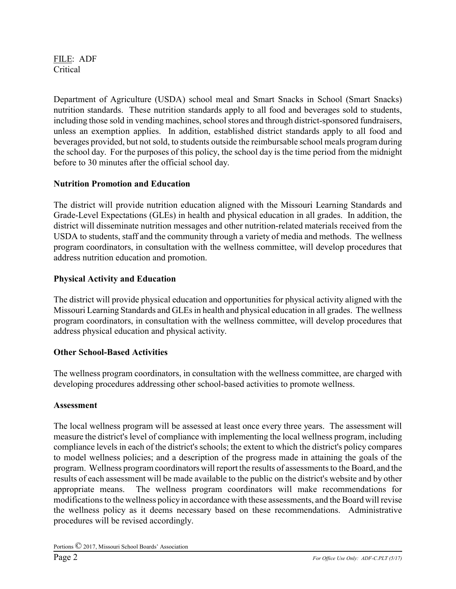FILE: ADF Critical

Department of Agriculture (USDA) school meal and Smart Snacks in School (Smart Snacks) nutrition standards. These nutrition standards apply to all food and beverages sold to students, including those sold in vending machines, school stores and through district-sponsored fundraisers, unless an exemption applies. In addition, established district standards apply to all food and beverages provided, but not sold, to students outside the reimbursable school meals program during the school day. For the purposes of this policy, the school day is the time period from the midnight before to 30 minutes after the official school day.

# **Nutrition Promotion and Education**

The district will provide nutrition education aligned with the Missouri Learning Standards and Grade-Level Expectations (GLEs) in health and physical education in all grades. In addition, the district will disseminate nutrition messages and other nutrition-related materials received from the USDA to students, staff and the community through a variety of media and methods. The wellness program coordinators, in consultation with the wellness committee, will develop procedures that address nutrition education and promotion.

## **Physical Activity and Education**

The district will provide physical education and opportunities for physical activity aligned with the Missouri Learning Standards and GLEs in health and physical education in all grades. The wellness program coordinators, in consultation with the wellness committee, will develop procedures that address physical education and physical activity.

## **Other School-Based Activities**

The wellness program coordinators, in consultation with the wellness committee, are charged with developing procedures addressing other school-based activities to promote wellness.

## **Assessment**

The local wellness program will be assessed at least once every three years. The assessment will measure the district's level of compliance with implementing the local wellness program, including compliance levels in each of the district's schools; the extent to which the district's policy compares to model wellness policies; and a description of the progress made in attaining the goals of the program. Wellness program coordinators will report the results of assessments to the Board, and the results of each assessment will be made available to the public on the district's website and by other appropriate means. The wellness program coordinators will make recommendations for modifications to the wellness policy in accordance with these assessments, and the Board will revise the wellness policy as it deems necessary based on these recommendations. Administrative procedures will be revised accordingly.

Portions © 2017, Missouri School Boards' Association